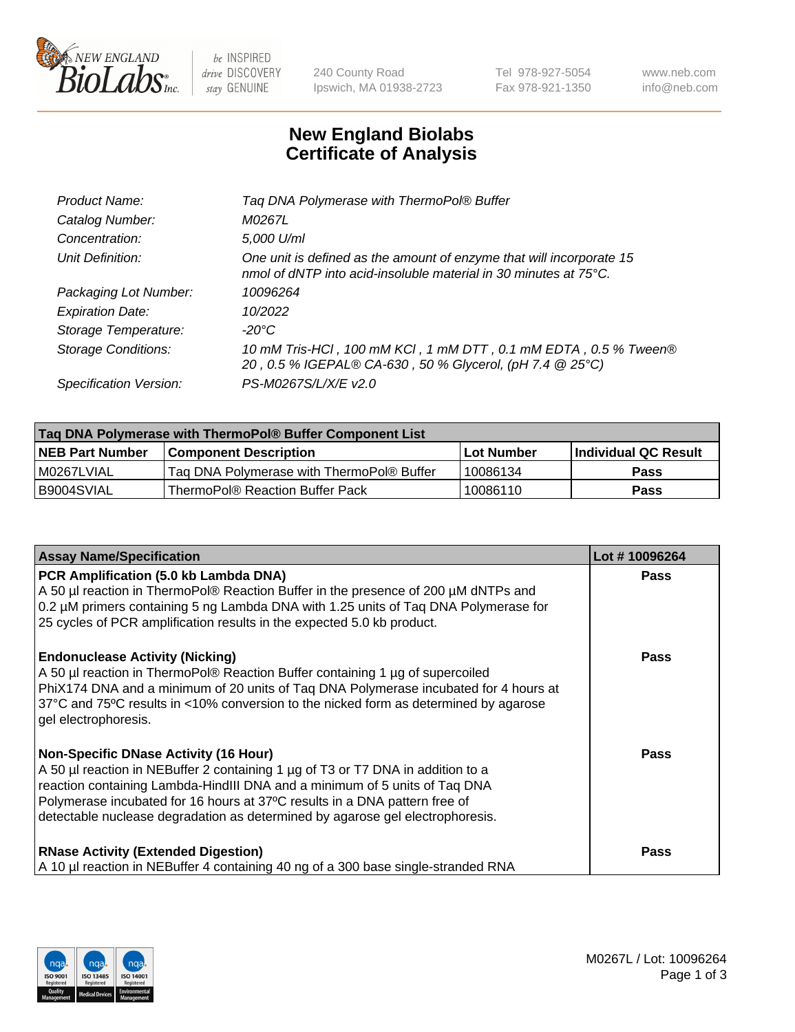

 $be$  INSPIRED drive DISCOVERY stay GENUINE

240 County Road Ipswich, MA 01938-2723 Tel 978-927-5054 Fax 978-921-1350 www.neb.com info@neb.com

## **New England Biolabs Certificate of Analysis**

| Tag DNA Polymerase with ThermoPol® Buffer                                                                                                |
|------------------------------------------------------------------------------------------------------------------------------------------|
| M0267L                                                                                                                                   |
| 5,000 U/ml                                                                                                                               |
| One unit is defined as the amount of enzyme that will incorporate 15<br>nmol of dNTP into acid-insoluble material in 30 minutes at 75°C. |
| 10096264                                                                                                                                 |
| 10/2022                                                                                                                                  |
| $-20^{\circ}$ C                                                                                                                          |
| 10 mM Tris-HCl, 100 mM KCl, 1 mM DTT, 0.1 mM EDTA, 0.5 % Tween®<br>20, 0.5 % IGEPAL® CA-630, 50 % Glycerol, (pH 7.4 @ 25°C)              |
| PS-M0267S/L/X/E v2.0                                                                                                                     |
|                                                                                                                                          |

| ∣Taq DNA Polymerase with ThermoPol® Buffer Component List |                                           |                   |                      |  |  |
|-----------------------------------------------------------|-------------------------------------------|-------------------|----------------------|--|--|
| <b>NEB Part Number</b>                                    | <b>Component Description</b>              | <b>Lot Number</b> | Individual QC Result |  |  |
| I M0267LVIAL                                              | Tag DNA Polymerase with ThermoPol® Buffer | 10086134          | Pass                 |  |  |
| B9004SVIAL                                                | ThermoPol® Reaction Buffer Pack           | 10086110          | Pass                 |  |  |

| <b>Assay Name/Specification</b>                                                                                                                                                                                                                                                                                                                                              | Lot #10096264 |
|------------------------------------------------------------------------------------------------------------------------------------------------------------------------------------------------------------------------------------------------------------------------------------------------------------------------------------------------------------------------------|---------------|
| PCR Amplification (5.0 kb Lambda DNA)<br>A 50 µl reaction in ThermoPol® Reaction Buffer in the presence of 200 µM dNTPs and<br>0.2 µM primers containing 5 ng Lambda DNA with 1.25 units of Taq DNA Polymerase for<br>25 cycles of PCR amplification results in the expected 5.0 kb product.                                                                                 | <b>Pass</b>   |
| <b>Endonuclease Activity (Nicking)</b><br>A 50 µl reaction in ThermoPol® Reaction Buffer containing 1 µg of supercoiled<br>PhiX174 DNA and a minimum of 20 units of Tag DNA Polymerase incubated for 4 hours at<br>37°C and 75°C results in <10% conversion to the nicked form as determined by agarose<br>gel electrophoresis.                                              | Pass          |
| <b>Non-Specific DNase Activity (16 Hour)</b><br>A 50 µl reaction in NEBuffer 2 containing 1 µg of T3 or T7 DNA in addition to a<br>reaction containing Lambda-HindIII DNA and a minimum of 5 units of Taq DNA<br>Polymerase incubated for 16 hours at 37°C results in a DNA pattern free of<br>detectable nuclease degradation as determined by agarose gel electrophoresis. | Pass          |
| <b>RNase Activity (Extended Digestion)</b><br>A 10 µl reaction in NEBuffer 4 containing 40 ng of a 300 base single-stranded RNA                                                                                                                                                                                                                                              | Pass          |

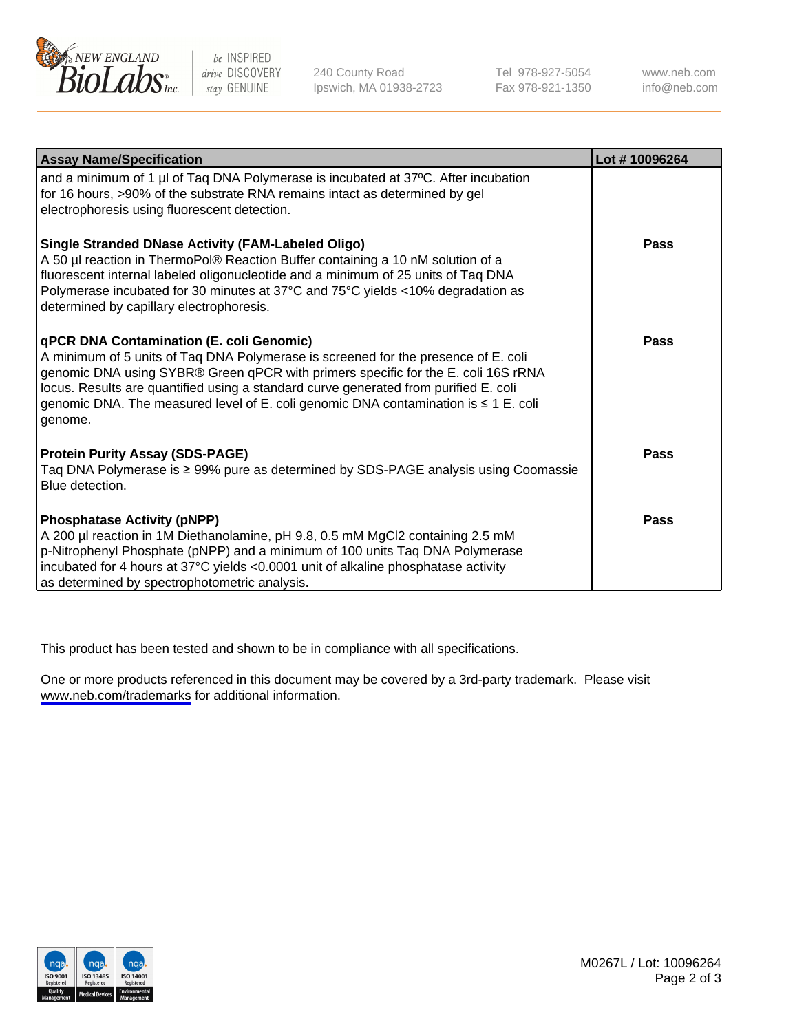

be INSPIRED drive DISCOVERY stay GENUINE

240 County Road Ipswich, MA 01938-2723 Tel 978-927-5054 Fax 978-921-1350

www.neb.com info@neb.com

| <b>Assay Name/Specification</b>                                                                                                                                                                                                                                                                                                                                                                               | Lot #10096264 |
|---------------------------------------------------------------------------------------------------------------------------------------------------------------------------------------------------------------------------------------------------------------------------------------------------------------------------------------------------------------------------------------------------------------|---------------|
| and a minimum of 1 µl of Taq DNA Polymerase is incubated at 37°C. After incubation<br>for 16 hours, >90% of the substrate RNA remains intact as determined by gel<br>electrophoresis using fluorescent detection.                                                                                                                                                                                             |               |
| <b>Single Stranded DNase Activity (FAM-Labeled Oligo)</b><br>A 50 µl reaction in ThermoPol® Reaction Buffer containing a 10 nM solution of a<br>fluorescent internal labeled oligonucleotide and a minimum of 25 units of Taq DNA<br>Polymerase incubated for 30 minutes at 37°C and 75°C yields <10% degradation as<br>determined by capillary electrophoresis.                                              | Pass          |
| qPCR DNA Contamination (E. coli Genomic)<br>A minimum of 5 units of Taq DNA Polymerase is screened for the presence of E. coli<br>genomic DNA using SYBR® Green qPCR with primers specific for the E. coli 16S rRNA<br>locus. Results are quantified using a standard curve generated from purified E. coli<br>genomic DNA. The measured level of E. coli genomic DNA contamination is ≤ 1 E. coli<br>genome. | Pass          |
| <b>Protein Purity Assay (SDS-PAGE)</b><br>Taq DNA Polymerase is ≥ 99% pure as determined by SDS-PAGE analysis using Coomassie<br>Blue detection.                                                                                                                                                                                                                                                              | <b>Pass</b>   |
| <b>Phosphatase Activity (pNPP)</b><br>A 200 µl reaction in 1M Diethanolamine, pH 9.8, 0.5 mM MgCl2 containing 2.5 mM<br>p-Nitrophenyl Phosphate (pNPP) and a minimum of 100 units Taq DNA Polymerase<br>incubated for 4 hours at 37°C yields <0.0001 unit of alkaline phosphatase activity<br>as determined by spectrophotometric analysis.                                                                   | <b>Pass</b>   |

This product has been tested and shown to be in compliance with all specifications.

One or more products referenced in this document may be covered by a 3rd-party trademark. Please visit <www.neb.com/trademarks>for additional information.